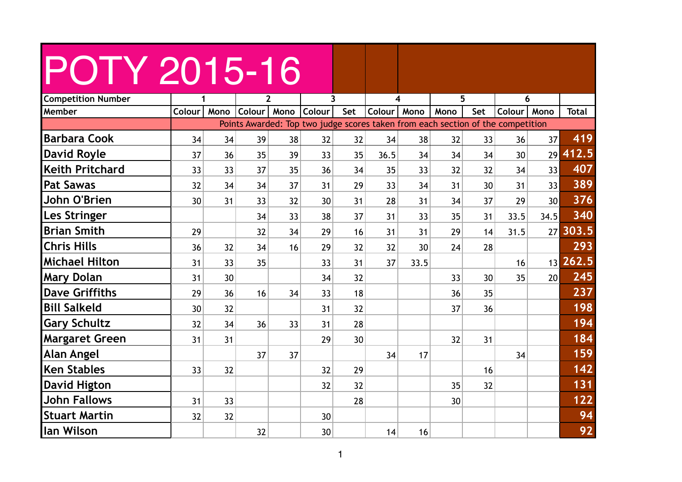| <b>Competition Number</b> |                 |                 |                         | $\overline{2}$ | $\overline{\mathbf{3}}$                                                         |     |        | 4    | 5               |     |               | 6               |              |
|---------------------------|-----------------|-----------------|-------------------------|----------------|---------------------------------------------------------------------------------|-----|--------|------|-----------------|-----|---------------|-----------------|--------------|
| Member                    | Colour          |                 | Mono Colour Mono Colour |                |                                                                                 | Set | Colour | Mono | Mono            | Set | Colour   Mono |                 | <b>Total</b> |
|                           |                 |                 |                         |                | Points Awarded: Top two judge scores taken from each section of the competition |     |        |      |                 |     |               |                 |              |
| <b>Barbara Cook</b>       | 34              | 34              | 39                      | 38             | 32                                                                              | 32  | 34     | 38   | 32              | 33  | 36            | 37              | 419          |
| <b>David Royle</b>        | 37              | 36              | 35                      | 39             | 33                                                                              | 35  | 36.5   | 34   | 34              | 34  | 30            | 29              | 412.5        |
| <b>Keith Pritchard</b>    | 33              | 33              | 37                      | 35             | 36                                                                              | 34  | 35     | 33   | 32              | 32  | 34            | 33              | 407          |
| <b>Pat Sawas</b>          | 32              | 34              | 34                      | 37             | 31                                                                              | 29  | 33     | 34   | 31              | 30  | 31            | 33              | 389          |
| John O'Brien              | 30 <sup>1</sup> | 31              | 33                      | 32             | 30                                                                              | 31  | 28     | 31   | 34              | 37  | 29            | 30 <sup>1</sup> | 376          |
| Les Stringer              |                 |                 | 34                      | 33             | 38                                                                              | 37  | 31     | 33   | 35 <sub>2</sub> | 31  | 33.5          | 34.5            | 340          |
| <b>Brian Smith</b>        | 29              |                 | 32 <sup>2</sup>         | 34             | 29                                                                              | 16  | 31     | 31   | 29              | 14  | 31.5          | 27              | 303.5        |
| <b>Chris Hills</b>        | 36              | 32              | 34                      | 16             | 29                                                                              | 32  | 32     | 30   | 24              | 28  |               |                 | 293          |
| <b>Michael Hilton</b>     | 31              | 33              | 35 <sup>5</sup>         |                | 33                                                                              | 31  | 37     | 33.5 |                 |     | 16            |                 | 13 262.5     |
| <b>Mary Dolan</b>         | 31              | 30              |                         |                | 34                                                                              | 32  |        |      | 33              | 30  | 35            | 20 <sup>1</sup> | 245          |
| <b>Dave Griffiths</b>     | 29              | 36              | 16                      | 34             | 33                                                                              | 18  |        |      | 36              | 35  |               |                 | 237          |
| <b>Bill Salkeld</b>       | 30 <sup>°</sup> | 32              |                         |                | 31                                                                              | 32  |        |      | 37              | 36  |               |                 | 198          |
| <b>Gary Schultz</b>       | 32              | 34              | 36                      | 33             | 31                                                                              | 28  |        |      |                 |     |               |                 | 194          |
| <b>Margaret Green</b>     | 31              | 31              |                         |                | 29                                                                              | 30  |        |      | 32              | 31  |               |                 | 184          |
| <b>Alan Angel</b>         |                 |                 | 37                      | 37             |                                                                                 |     | 34     | 17   |                 |     | 34            |                 | 159          |
| <b>Ken Stables</b>        | 33 <sup>1</sup> | 32              |                         |                | 32                                                                              | 29  |        |      |                 | 16  |               |                 | 142          |
| <b>David Higton</b>       |                 |                 |                         |                | 32                                                                              | 32  |        |      | 35              | 32  |               |                 | 131          |
| <b>John Fallows</b>       | 31              | 33 <sup>2</sup> |                         |                |                                                                                 | 28  |        |      | 30              |     |               |                 | 122          |
| <b>Stuart Martin</b>      | 32              | 32              |                         |                | 30 <sup>°</sup>                                                                 |     |        |      |                 |     |               |                 | 94           |
| lan Wilson                |                 |                 | 32                      |                | 30 <sup>°</sup>                                                                 |     | 14     | 16   |                 |     |               |                 | 92           |